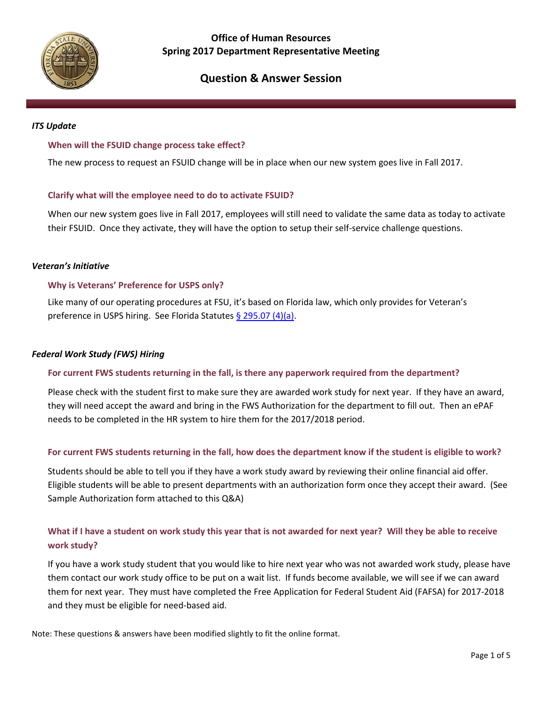

## **Office of Human Resources Spring 2017 Department Representative Meeting**

# **Question & Answer Session**

#### *ITS Update*

#### **When will the FSUID change process take effect?**

The new process to request an FSUID change will be in place when our new system goes live in Fall 2017.

#### **Clarify what will the employee need to do to activate FSUID?**

When our new system goes live in Fall 2017, employees will still need to validate the same data as today to activate their FSUID. Once they activate, they will have the option to setup their self-service challenge questions.

#### *Veteran's Initiative*

#### **Why is Veterans' Preference for USPS only?**

Like many of our operating procedures at FSU, it's based on Florida law, which only provides for Veteran's preference in USPS hiring. See Florida Statutes [§ 295.07 \(4\)\(a\).](http://www.leg.state.fl.us/Statutes/index.cfm?App_mode=Display_Statute&Search_String=&URL=0200-0299/0295/Sections/0295.07.html)

#### *Federal Work Study (FWS) Hiring*

#### **For current FWS students returning in the fall, is there any paperwork required from the department?**

Please check with the student first to make sure they are awarded work study for next year. If they have an award, they will need accept the award and bring in the FWS Authorization for the department to fill out. Then an ePAF needs to be completed in the HR system to hire them for the 2017/2018 period.

#### **For current FWS students returning in the fall, how does the department know if the student is eligible to work?**

Students should be able to tell you if they have a work study award by reviewing their online financial aid offer. Eligible students will be able to present departments with an authorization form once they accept their award. (See Sample Authorization form attached to this Q&A)

## **What if I have a student on work study this year that is not awarded for next year? Will they be able to receive work study?**

If you have a work study student that you would like to hire next year who was not awarded work study, please have them contact our work study office to be put on a wait list. If funds become available, we will see if we can award them for next year. They must have completed the Free Application for Federal Student Aid (FAFSA) for 2017-2018 and they must be eligible for need-based aid.

Note: These questions & answers have been modified slightly to fit the online format.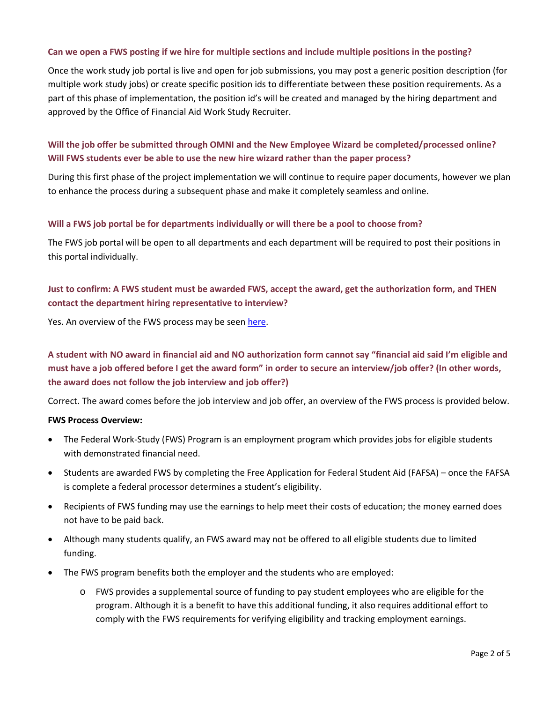## **Can we open a FWS posting if we hire for multiple sections and include multiple positions in the posting?**

Once the work study job portal is live and open for job submissions, you may post a generic position description (for multiple work study jobs) or create specific position ids to differentiate between these position requirements. As a part of this phase of implementation, the position id's will be created and managed by the hiring department and approved by the Office of Financial Aid Work Study Recruiter.

## **Will the job offer be submitted through OMNI and the New Employee Wizard be completed/processed online? Will FWS students ever be able to use the new hire wizard rather than the paper process?**

During this first phase of the project implementation we will continue to require paper documents, however we plan to enhance the process during a subsequent phase and make it completely seamless and online.

## **Will a FWS job portal be for departments individually or will there be a pool to choose from?**

The FWS job portal will be open to all departments and each department will be required to post their positions in this portal individually.

## **Just to confirm: A FWS student must be awarded FWS, accept the award, get the authorization form, and THEN contact the department hiring representative to interview?**

Yes. An overview of the FWS process may be seen [here.](http://financialaid.fsu.edu/types-aid/federal-work-study/steps-finding-fws-position)

## **A student with NO award in financial aid and NO authorization form cannot say "financial aid said I'm eligible and must have a job offered before I get the award form" in order to secure an interview/job offer? (In other words, the award does not follow the job interview and job offer?)**

Correct. The award comes before the job interview and job offer, an overview of the FWS process is provided below.

#### **FWS Process Overview:**

- The Federal Work-Study (FWS) Program is an employment program which provides jobs for eligible students with demonstrated financial need.
- Students are awarded FWS by completing the Free Application for Federal Student Aid (FAFSA) once the FAFSA is complete a federal processor determines a student's eligibility.
- Recipients of FWS funding may use the earnings to help meet their costs of education; the money earned does not have to be paid back.
- Although many students qualify, an FWS award may not be offered to all eligible students due to limited funding.
- The FWS program benefits both the employer and the students who are employed:
	- o FWS provides a supplemental source of funding to pay student employees who are eligible for the program. Although it is a benefit to have this additional funding, it also requires additional effort to comply with the FWS requirements for verifying eligibility and tracking employment earnings.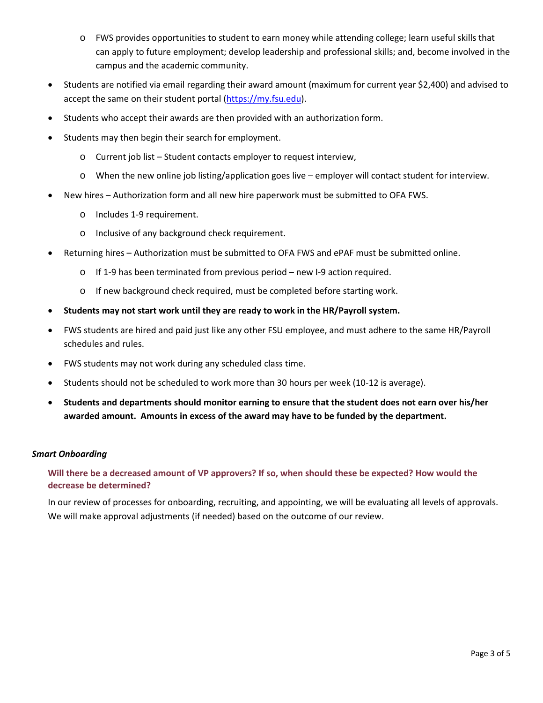- o FWS provides opportunities to student to earn money while attending college; learn useful skills that can apply to future employment; develop leadership and professional skills; and, become involved in the campus and the academic community.
- Students are notified via email regarding their award amount (maximum for current year \$2,400) and advised to accept the same on their student portal [\(https://my.fsu.edu\)](https://my.fsu.edu/).
- Students who accept their awards are then provided with an authorization form.
- Students may then begin their search for employment.
	- o Current job list Student contacts employer to request interview,
	- o When the new online job listing/application goes live employer will contact student for interview.
- New hires Authorization form and all new hire paperwork must be submitted to OFA FWS.
	- o Includes 1-9 requirement.
	- o Inclusive of any background check requirement.
- Returning hires Authorization must be submitted to OFA FWS and ePAF must be submitted online.
	- $\circ$  If 1-9 has been terminated from previous period new I-9 action required.
	- o If new background check required, must be completed before starting work.
- **Students may not start work until they are ready to work in the HR/Payroll system.**
- FWS students are hired and paid just like any other FSU employee, and must adhere to the same HR/Payroll schedules and rules.
- FWS students may not work during any scheduled class time.
- Students should not be scheduled to work more than 30 hours per week (10-12 is average).
- **Students and departments should monitor earning to ensure that the student does not earn over his/her awarded amount. Amounts in excess of the award may have to be funded by the department.**

#### *Smart Onboarding*

## **Will there be a decreased amount of VP approvers? If so, when should these be expected? How would the decrease be determined?**

In our review of processes for onboarding, recruiting, and appointing, we will be evaluating all levels of approvals. We will make approval adjustments (if needed) based on the outcome of our review.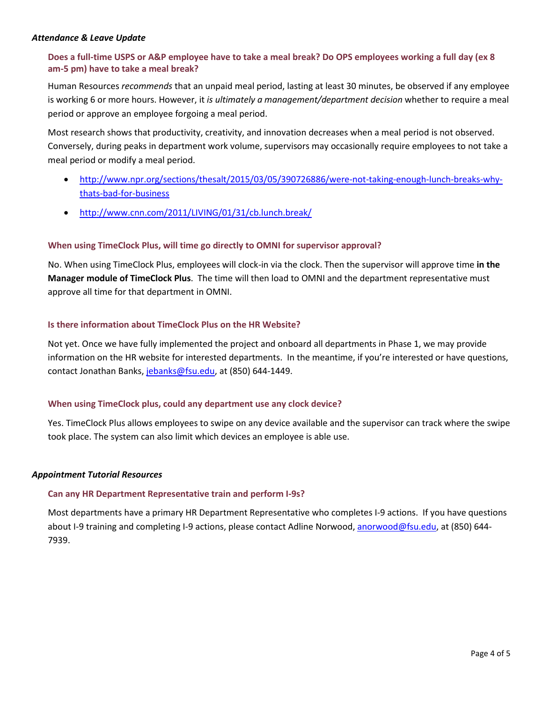#### *Attendance & Leave Update*

## **Does a full-time USPS or A&P employee have to take a meal break? Do OPS employees working a full day (ex 8 am-5 pm) have to take a meal break?**

Human Resources *recommends* that an unpaid meal period, lasting at least 30 minutes, be observed if any employee is working 6 or more hours. However, it *is ultimately a management/department decision* whether to require a meal period or approve an employee forgoing a meal period.

Most research shows that productivity, creativity, and innovation decreases when a meal period is not observed. Conversely, during peaks in department work volume, supervisors may occasionally require employees to not take a meal period or modify a meal period.

- [http://www.npr.org/sections/thesalt/2015/03/05/390726886/were-not-taking-enough-lunch-breaks-why](http://www.npr.org/sections/thesalt/2015/03/05/390726886/were-not-taking-enough-lunch-breaks-why-thats-bad-for-business)[thats-bad-for-business](http://www.npr.org/sections/thesalt/2015/03/05/390726886/were-not-taking-enough-lunch-breaks-why-thats-bad-for-business)
- <http://www.cnn.com/2011/LIVING/01/31/cb.lunch.break/>

## **When using TimeClock Plus, will time go directly to OMNI for supervisor approval?**

No. When using TimeClock Plus, employees will clock-in via the clock. Then the supervisor will approve time **in the Manager module of TimeClock Plus**. The time will then load to OMNI and the department representative must approve all time for that department in OMNI.

## **Is there information about TimeClock Plus on the HR Website?**

Not yet. Once we have fully implemented the project and onboard all departments in Phase 1, we may provide information on the HR website for interested departments. In the meantime, if you're interested or have questions, contact Jonathan Banks, [jebanks@fsu.edu,](mailto:jebanks@fsu.edu) at (850) 644-1449.

#### **When using TimeClock plus, could any department use any clock device?**

Yes. TimeClock Plus allows employees to swipe on any device available and the supervisor can track where the swipe took place. The system can also limit which devices an employee is able use.

#### *Appointment Tutorial Resources*

#### **Can any HR Department Representative train and perform I-9s?**

Most departments have a primary HR Department Representative who completes I-9 actions. If you have questions about I-9 training and completing I-9 actions, please contact Adline Norwood, [anorwood@fsu.edu,](mailto:anorwood@fsu.edu) at (850) 644-7939.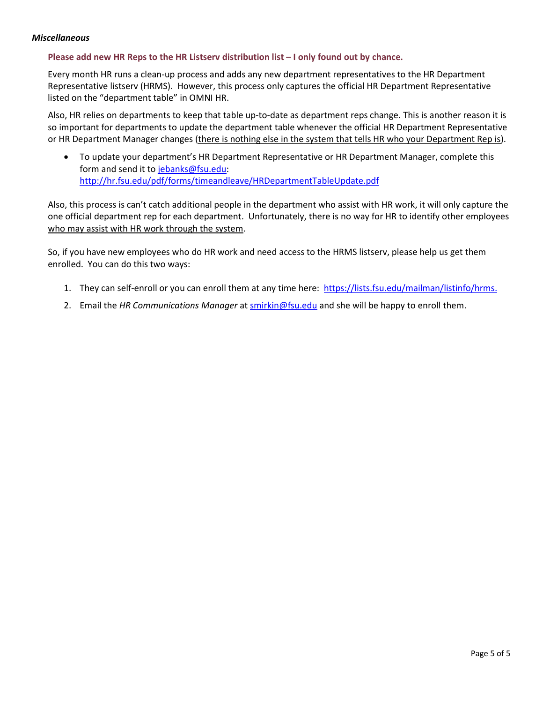#### *Miscellaneous*

### **Please add new HR Reps to the HR Listserv distribution list – I only found out by chance.**

Every month HR runs a clean-up process and adds any new department representatives to the HR Department Representative listserv (HRMS). However, this process only captures the official HR Department Representative listed on the "department table" in OMNI HR.

Also, HR relies on departments to keep that table up-to-date as department reps change. This is another reason it is so important for departments to update the department table whenever the official HR Department Representative or HR Department Manager changes (there is nothing else in the system that tells HR who your Department Rep is).

• To update your department's HR Department Representative or HR Department Manager, complete this form and send it to [jebanks@fsu.edu:](mailto:jebanks@fsu.edu) <http://hr.fsu.edu/pdf/forms/timeandleave/HRDepartmentTableUpdate.pdf>

Also, this process is can't catch additional people in the department who assist with HR work, it will only capture the one official department rep for each department. Unfortunately, there is no way for HR to identify other employees who may assist with HR work through the system.

So, if you have new employees who do HR work and need access to the HRMS listserv, please help us get them enrolled. You can do this two ways:

- 1. They can self-enroll or you can enroll them at any time here: [https://lists.fsu.edu/mailman/listinfo/hrms.](https://lists.fsu.edu/mailman/listinfo/hrms)
- 2. Email the *HR Communications Manager* at [smirkin@fsu.edu](mailto:smirkin@fsu.edu) and she will be happy to enroll them.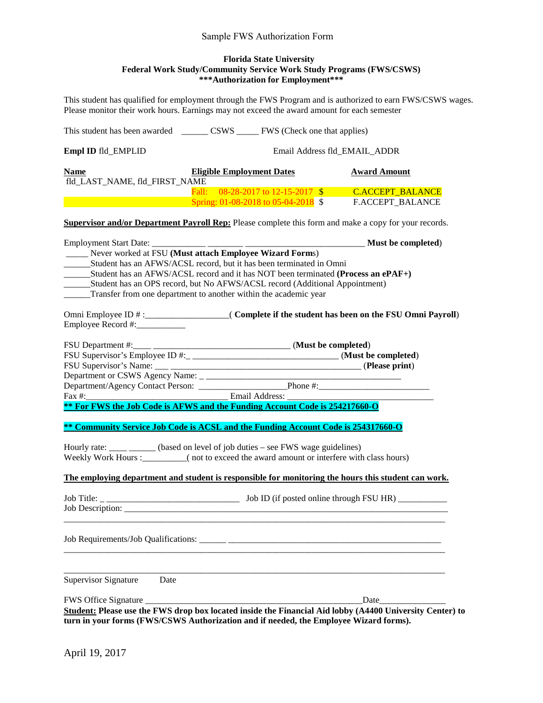#### Sample FWS Authorization Form

#### **Florida State University Federal Work Study/Community Service Work Study Programs (FWS/CSWS) \*\*\*Authorization for Employment\*\*\***

This student has qualified for employment through the FWS Program and is authorized to earn FWS/CSWS wages. Please monitor their work hours. Earnings may not exceed the award amount for each semester

| Empl ID fld_EMPLID                                                                                                                                                                                                                                                                                                                                                                                         | Email Address fld_EMAIL_ADDR                                                 |                                                                                                                                                                                                                               |
|------------------------------------------------------------------------------------------------------------------------------------------------------------------------------------------------------------------------------------------------------------------------------------------------------------------------------------------------------------------------------------------------------------|------------------------------------------------------------------------------|-------------------------------------------------------------------------------------------------------------------------------------------------------------------------------------------------------------------------------|
| <b>Name</b><br>fld_LAST_NAME, fld_FIRST_NAME                                                                                                                                                                                                                                                                                                                                                               | <b>Eligible Employment Dates</b>                                             | <b>Award Amount</b>                                                                                                                                                                                                           |
|                                                                                                                                                                                                                                                                                                                                                                                                            | Fall: 08-28-2017 to 12-15-2017 \$<br>Spring: $01-08-2018$ to $05-04-2018$ \$ | <b>C.ACCEPT_BALANCE</b><br>F.ACCEPT_BALANCE                                                                                                                                                                                   |
| <b>Supervisor and/or Department Payroll Rep:</b> Please complete this form and make a copy for your records.                                                                                                                                                                                                                                                                                               |                                                                              |                                                                                                                                                                                                                               |
| ____ Never worked at FSU (Must attach Employee Wizard Forms)<br>_________Student has an AFWS/ACSL record, but it has been terminated in Omni<br>________Student has an AFWS/ACSL record and it has NOT been terminated (Process an ePAF+)<br>________Student has an OPS record, but No AFWS/ACSL record (Additional Appointment)<br>______Transfer from one department to another within the academic year |                                                                              |                                                                                                                                                                                                                               |
|                                                                                                                                                                                                                                                                                                                                                                                                            |                                                                              |                                                                                                                                                                                                                               |
| Fax #: Email Address:<br><b>** For FWS the Job Code is AFWS and the Funding Account Code is 254217660-O</b>                                                                                                                                                                                                                                                                                                |                                                                              |                                                                                                                                                                                                                               |
| ** Community Service Job Code is ACSL and the Funding Account Code is 254317660-O                                                                                                                                                                                                                                                                                                                          |                                                                              |                                                                                                                                                                                                                               |
| Hourly rate: ____ _____ (based on level of job duties – see FWS wage guidelines)<br>Weekly Work Hours :__________( not to exceed the award amount or interfere with class hours)<br>The employing department and student is responsible for monitoring the hours this student can work.                                                                                                                    |                                                                              |                                                                                                                                                                                                                               |
| Job Description:                                                                                                                                                                                                                                                                                                                                                                                           |                                                                              |                                                                                                                                                                                                                               |
| Job Requirements/Job Qualifications:                                                                                                                                                                                                                                                                                                                                                                       |                                                                              |                                                                                                                                                                                                                               |
| Supervisor Signature<br>Date                                                                                                                                                                                                                                                                                                                                                                               |                                                                              |                                                                                                                                                                                                                               |
| Student: Please use the FWS drop box located inside the Financial Aid lobby (A4400 University Center) to<br>turn in your forms (FWS/CSWS Authorization and if needed, the Employee Wizard forms).                                                                                                                                                                                                          |                                                                              | Date and the same state of the state of the state of the state of the state of the state of the state of the state of the state of the state of the state of the state of the state of the state of the state of the state of |